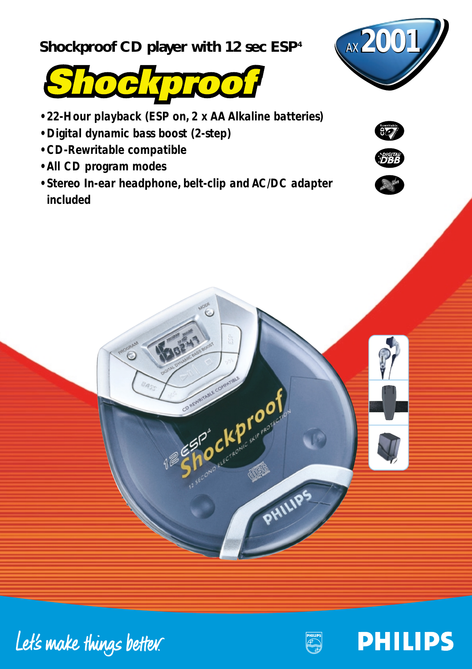**Shockproof CD player with 12 sec ESP<sup>4</sup>** *AX* **2001/** 





- *22-Hour playback (ESP on, 2 x AA Alkaline batteries)*
- *Digital dynamic bass boost (2-step)*
- *CD-Rewritable compatible*
- *All CD program modes*
- *Stereo In-ear headphone, belt-clip and AC/DC adapter included*













**PHILIPS**